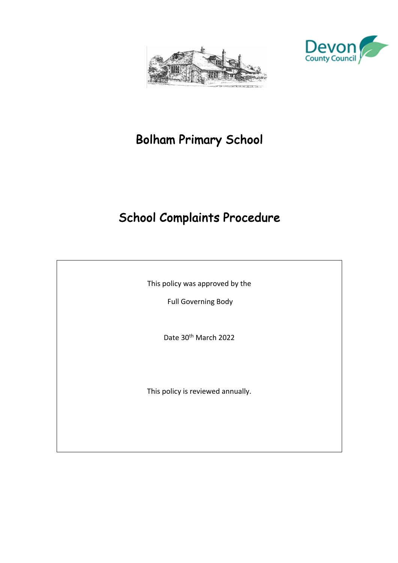



# Bolham Primary School

# School Complaints Procedure

This policy was approved by the

Full Governing Body

Date 30<sup>th</sup> March 2022

This policy is reviewed annually.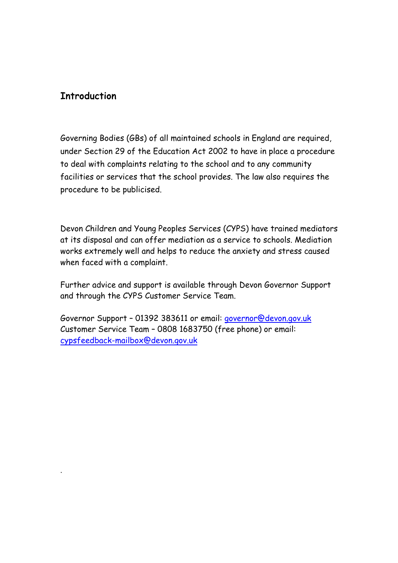# **Introduction**

.

Governing Bodies (GBs) of all maintained schools in England are required, under Section 29 of the Education Act 2002 to have in place a procedure to deal with complaints relating to the school and to any community facilities or services that the school provides. The law also requires the procedure to be publicised.

Devon Children and Young Peoples Services (CYPS) have trained mediators at its disposal and can offer mediation as a service to schools. Mediation works extremely well and helps to reduce the anxiety and stress caused when faced with a complaint.

Further advice and support is available through Devon Governor Support and through the CYPS Customer Service Team.

Governor Support – 01392 383611 or email: governor@devon.gov.uk Customer Service Team – 0808 1683750 (free phone) or email: cypsfeedback-mailbox@devon.gov.uk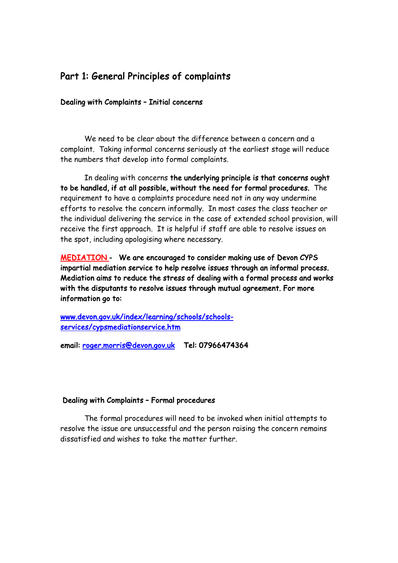# Part 1: General Principles of complaints

#### Dealing with Complaints – Initial concerns

We need to be clear about the difference between a concern and a complaint. Taking informal concerns seriously at the earliest stage will reduce the numbers that develop into formal complaints.

In dealing with concerns the underlying principle is that concerns ought to be handled, if at all possible, without the need for formal procedures. The requirement to have a complaints procedure need not in any way undermine efforts to resolve the concern informally. In most cases the class teacher or the individual delivering the service in the case of extended school provision, will receive the first approach. It is helpful if staff are able to resolve issues on the spot, including apologising where necessary.

MEDIATION - We are encouraged to consider making use of Devon CYPS impartial mediation service to help resolve issues through an informal process. Mediation aims to reduce the stress of dealing with a formal process and works with the disputants to resolve issues through mutual agreement. For more information go to:

www.devon.gov.uk/index/learning/schools/schoolsservices/cypsmediationservice.htm

email: roger.morris@devon.gov.uk Tel: 07966474364

#### Dealing with Complaints – Formal procedures

The formal procedures will need to be invoked when initial attempts to resolve the issue are unsuccessful and the person raising the concern remains dissatisfied and wishes to take the matter further.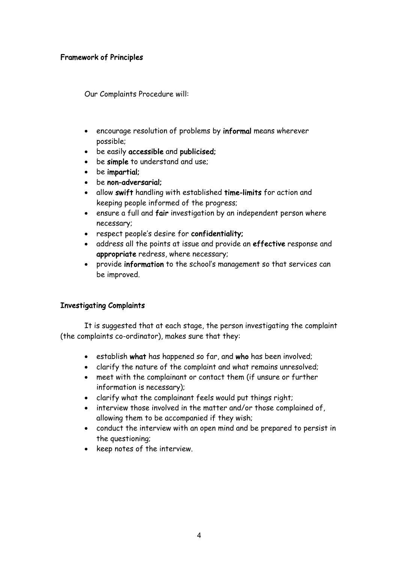#### Framework of Principles

Our Complaints Procedure will:

- encourage resolution of problems by informal means wherever possible;
- be easily accessible and publicised;
- be simple to understand and use;
- be impartial;
- be non-adversarial;
- allow swift handling with established time-limits for action and keeping people informed of the progress;
- ensure a full and fair investigation by an independent person where necessary;
- respect people's desire for confidentiality;
- address all the points at issue and provide an effective response and appropriate redress, where necessary;
- provide information to the school's management so that services can be improved.

#### Investigating Complaints

It is suggested that at each stage, the person investigating the complaint (the complaints co-ordinator), makes sure that they:

- establish what has happened so far, and who has been involved;
- clarify the nature of the complaint and what remains unresolved;
- meet with the complainant or contact them (if unsure or further information is necessary);
- clarify what the complainant feels would put things right;
- interview those involved in the matter and/or those complained of, allowing them to be accompanied if they wish;
- conduct the interview with an open mind and be prepared to persist in the questioning;
- keep notes of the interview.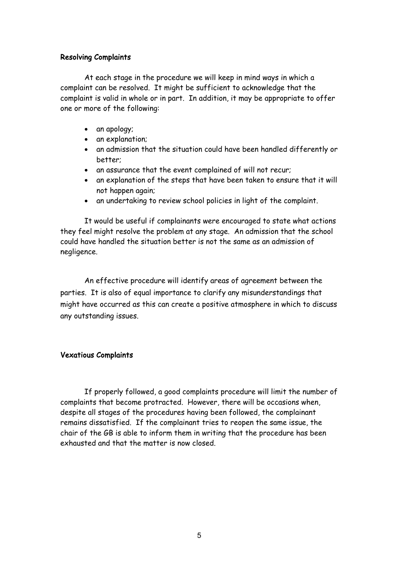#### Resolving Complaints

At each stage in the procedure we will keep in mind ways in which a complaint can be resolved. It might be sufficient to acknowledge that the complaint is valid in whole or in part. In addition, it may be appropriate to offer one or more of the following:

- an apology;
- an explanation;
- an admission that the situation could have been handled differently or better;
- an assurance that the event complained of will not recur;
- an explanation of the steps that have been taken to ensure that it will not happen again;
- an undertaking to review school policies in light of the complaint.

It would be useful if complainants were encouraged to state what actions they feel might resolve the problem at any stage. An admission that the school could have handled the situation better is not the same as an admission of negligence.

An effective procedure will identify areas of agreement between the parties. It is also of equal importance to clarify any misunderstandings that might have occurred as this can create a positive atmosphere in which to discuss any outstanding issues.

#### Vexatious Complaints

If properly followed, a good complaints procedure will limit the number of complaints that become protracted. However, there will be occasions when, despite all stages of the procedures having been followed, the complainant remains dissatisfied. If the complainant tries to reopen the same issue, the chair of the GB is able to inform them in writing that the procedure has been exhausted and that the matter is now closed.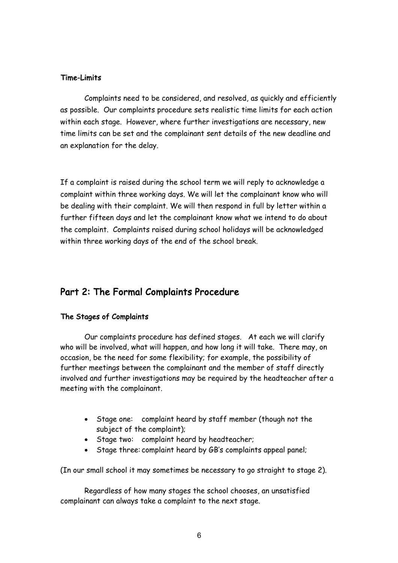#### Time-Limits

Complaints need to be considered, and resolved, as quickly and efficiently as possible. Our complaints procedure sets realistic time limits for each action within each stage. However, where further investigations are necessary, new time limits can be set and the complainant sent details of the new deadline and an explanation for the delay.

If a complaint is raised during the school term we will reply to acknowledge a complaint within three working days. We will let the complainant know who will be dealing with their complaint. We will then respond in full by letter within a further fifteen days and let the complainant know what we intend to do about the complaint. Complaints raised during school holidays will be acknowledged within three working days of the end of the school break.

## Part 2: The Formal Complaints Procedure

## The Stages of Complaints

Our complaints procedure has defined stages. At each we will clarify who will be involved, what will happen, and how long it will take. There may, on occasion, be the need for some flexibility; for example, the possibility of further meetings between the complainant and the member of staff directly involved and further investigations may be required by the headteacher after a meeting with the complainant.

- Stage one: complaint heard by staff member (though not the subject of the complaint);
- Stage two: complaint heard by headteacher;
- Stage three: complaint heard by GB's complaints appeal panel;

(In our small school it may sometimes be necessary to go straight to stage 2).

Regardless of how many stages the school chooses, an unsatisfied complainant can always take a complaint to the next stage.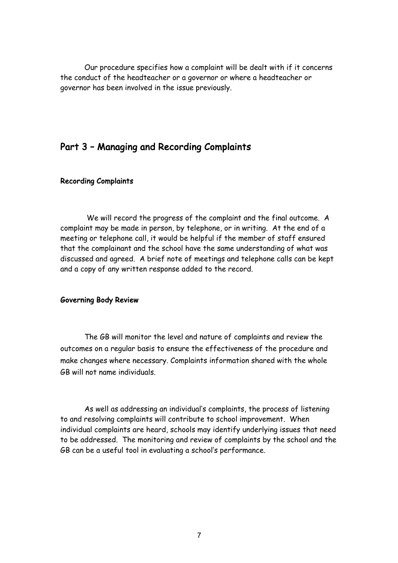Our procedure specifies how a complaint will be dealt with if it concerns the conduct of the headteacher or a governor or where a headteacher or governor has been involved in the issue previously.

## Part 3 – Managing and Recording Complaints

#### Recording Complaints

 We will record the progress of the complaint and the final outcome. A complaint may be made in person, by telephone, or in writing. At the end of a meeting or telephone call, it would be helpful if the member of staff ensured that the complainant and the school have the same understanding of what was discussed and agreed. A brief note of meetings and telephone calls can be kept and a copy of any written response added to the record.

#### Governing Body Review

The GB will monitor the level and nature of complaints and review the outcomes on a regular basis to ensure the effectiveness of the procedure and make changes where necessary. Complaints information shared with the whole GB will not name individuals.

As well as addressing an individual's complaints, the process of listening to and resolving complaints will contribute to school improvement. When individual complaints are heard, schools may identify underlying issues that need to be addressed. The monitoring and review of complaints by the school and the GB can be a useful tool in evaluating a school's performance.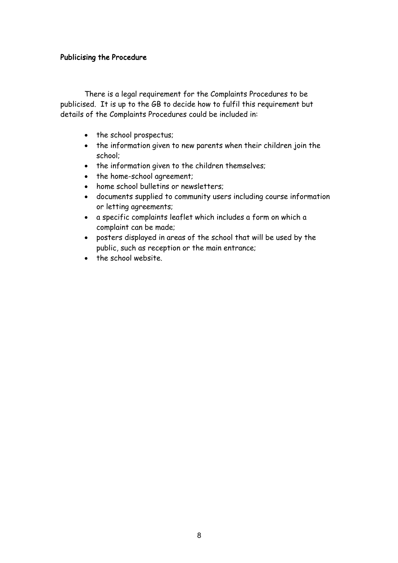#### Publicising the Procedure

There is a legal requirement for the Complaints Procedures to be publicised. It is up to the GB to decide how to fulfil this requirement but details of the Complaints Procedures could be included in:

- the school prospectus;
- the information given to new parents when their children join the school;
- the information given to the children themselves;
- the home-school agreement;
- home school bulletins or newsletters;
- documents supplied to community users including course information or letting agreements;
- a specific complaints leaflet which includes a form on which a complaint can be made;
- posters displayed in areas of the school that will be used by the public, such as reception or the main entrance;
- the school website.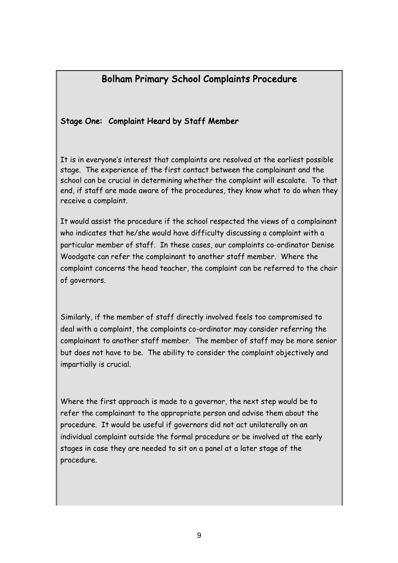# Bolham Primary School Complaints Procedure

## Stage One: Complaint Heard by Staff Member

It is in everyone's interest that complaints are resolved at the earliest possible stage. The experience of the first contact between the complainant and the school can be crucial in determining whether the complaint will escalate. To that end, if staff are made aware of the procedures, they know what to do when they receive a complaint.

It would assist the procedure if the school respected the views of a complainant who indicates that he/she would have difficulty discussing a complaint with a particular member of staff. In these cases, our complaints co-ordinator Denise Woodgate can refer the complainant to another staff member. Where the complaint concerns the head teacher, the complaint can be referred to the chair of governors.

Similarly, if the member of staff directly involved feels too compromised to deal with a complaint, the complaints co-ordinator may consider referring the complainant to another staff member. The member of staff may be more senior but does not have to be. The ability to consider the complaint objectively and impartially is crucial.

Where the first approach is made to a governor, the next step would be to refer the complainant to the appropriate person and advise them about the procedure. It would be useful if governors did not act unilaterally on an individual complaint outside the formal procedure or be involved at the early stages in case they are needed to sit on a panel at a later stage of the procedure.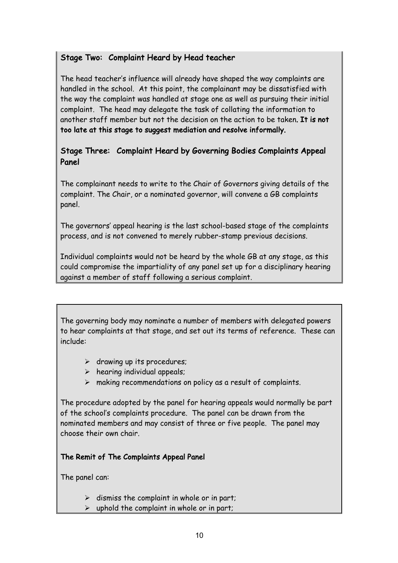## Stage Two: Complaint Heard by Head teacher

The head teacher's influence will already have shaped the way complaints are handled in the school. At this point, the complainant may be dissatisfied with the way the complaint was handled at stage one as well as pursuing their initial complaint. The head may delegate the task of collating the information to another staff member but not the decision on the action to be taken. It is not too late at this stage to suggest mediation and resolve informally.

## Stage Three: Complaint Heard by Governing Bodies Complaints Appeal Panel

The complainant needs to write to the Chair of Governors giving details of the complaint. The Chair, or a nominated governor, will convene a GB complaints panel.

The governors' appeal hearing is the last school-based stage of the complaints process, and is not convened to merely rubber-stamp previous decisions.

Individual complaints would not be heard by the whole GB at any stage, as this could compromise the impartiality of any panel set up for a disciplinary hearing against a member of staff following a serious complaint.

The governing body may nominate a number of members with delegated powers to hear complaints at that stage, and set out its terms of reference. These can include:

- $\triangleright$  drawing up its procedures;
- $\triangleright$  hearing individual appeals;
- $\triangleright$  making recommendations on policy as a result of complaints.

The procedure adopted by the panel for hearing appeals would normally be part of the school's complaints procedure. The panel can be drawn from the nominated members and may consist of three or five people. The panel may choose their own chair.

## The Remit of The Complaints Appeal Panel

The panel can:

- $\triangleright$  dismiss the complaint in whole or in part;
- $\triangleright$  uphold the complaint in whole or in part;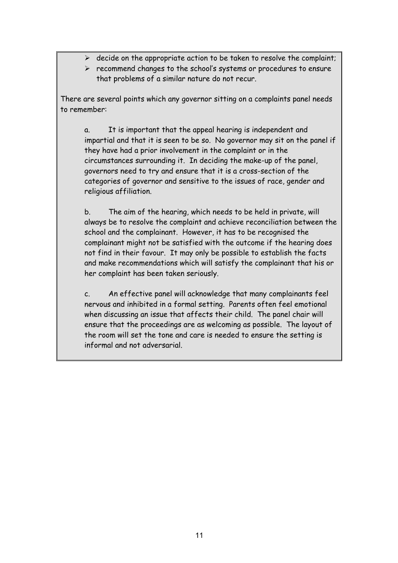- $\triangleright$  decide on the appropriate action to be taken to resolve the complaint;
- $\triangleright$  recommend changes to the school's systems or procedures to ensure that problems of a similar nature do not recur.

There are several points which any governor sitting on a complaints panel needs to remember:

a. It is important that the appeal hearing is independent and impartial and that it is seen to be so. No governor may sit on the panel if they have had a prior involvement in the complaint or in the circumstances surrounding it. In deciding the make-up of the panel, governors need to try and ensure that it is a cross-section of the categories of governor and sensitive to the issues of race, gender and religious affiliation.

b. The aim of the hearing, which needs to be held in private, will always be to resolve the complaint and achieve reconciliation between the school and the complainant. However, it has to be recognised the complainant might not be satisfied with the outcome if the hearing does not find in their favour. It may only be possible to establish the facts and make recommendations which will satisfy the complainant that his or her complaint has been taken seriously.

c. An effective panel will acknowledge that many complainants feel nervous and inhibited in a formal setting. Parents often feel emotional when discussing an issue that affects their child. The panel chair will ensure that the proceedings are as welcoming as possible. The layout of the room will set the tone and care is needed to ensure the setting is informal and not adversarial.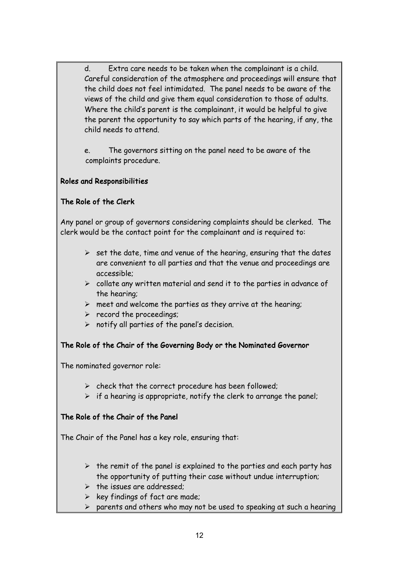d. Extra care needs to be taken when the complainant is a child. Careful consideration of the atmosphere and proceedings will ensure that the child does not feel intimidated. The panel needs to be aware of the views of the child and give them equal consideration to those of adults. Where the child's parent is the complainant, it would be helpful to give the parent the opportunity to say which parts of the hearing, if any, the child needs to attend.

e. The governors sitting on the panel need to be aware of the complaints procedure.

## Roles and Responsibilities

## The Role of the Clerk

Any panel or group of governors considering complaints should be clerked. The clerk would be the contact point for the complainant and is required to:

- $\triangleright$  set the date, time and venue of the hearing, ensuring that the dates are convenient to all parties and that the venue and proceedings are accessible;
- $\triangleright$  collate any written material and send it to the parties in advance of the hearing;
- $\triangleright$  meet and welcome the parties as they arrive at the hearing;
- $\triangleright$  record the proceedings;
- $\triangleright$  notify all parties of the panel's decision.

## The Role of the Chair of the Governing Body or the Nominated Governor

The nominated governor role:

- $\triangleright$  check that the correct procedure has been followed;
- $\triangleright$  if a hearing is appropriate, notify the clerk to arrange the panel;

## The Role of the Chair of the Panel

The Chair of the Panel has a key role, ensuring that:

- $\triangleright$  the remit of the panel is explained to the parties and each party has the opportunity of putting their case without undue interruption;
- $\triangleright$  the issues are addressed;
- $\triangleright$  key findings of fact are made;
- $\triangleright$  parents and others who may not be used to speaking at such a hearing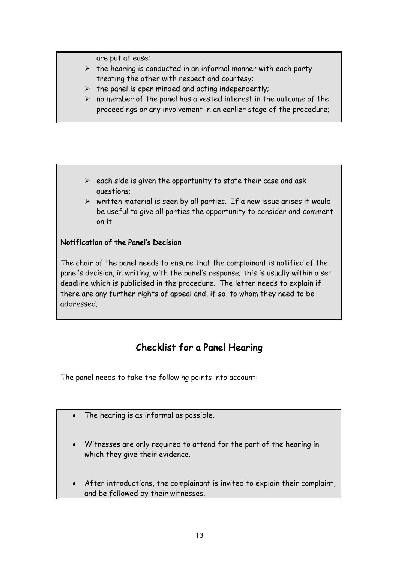are put at ease;

- $\triangleright$  the hearing is conducted in an informal manner with each party treating the other with respect and courtesy;
- $\triangleright$  the panel is open minded and acting independently;
- $\triangleright$  no member of the panel has a vested interest in the outcome of the proceedings or any involvement in an earlier stage of the procedure;

- $\triangleright$  each side is given the opportunity to state their case and ask questions;
- $\triangleright$  written material is seen by all parties. If a new issue arises it would be useful to give all parties the opportunity to consider and comment on it.

## Notification of the Panel's Decision

The chair of the panel needs to ensure that the complainant is notified of the panel's decision, in writing, with the panel's response; this is usually within a set deadline which is publicised in the procedure. The letter needs to explain if there are any further rights of appeal and, if so, to whom they need to be addressed.

# Checklist for a Panel Hearing

The panel needs to take the following points into account:

- The hearing is as informal as possible.
- Witnesses are only required to attend for the part of the hearing in which they give their evidence.
- After introductions, the complainant is invited to explain their complaint, and be followed by their witnesses.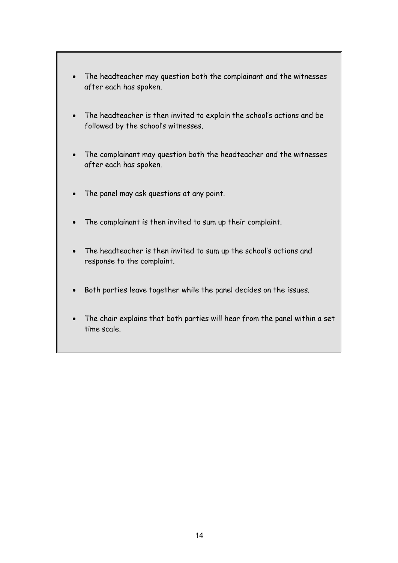- The headteacher may question both the complainant and the witnesses after each has spoken.
- The headteacher is then invited to explain the school's actions and be followed by the school's witnesses.
- The complainant may question both the headteacher and the witnesses after each has spoken.
- The panel may ask questions at any point.
- The complainant is then invited to sum up their complaint.
- The headteacher is then invited to sum up the school's actions and response to the complaint.
- Both parties leave together while the panel decides on the issues.
- The chair explains that both parties will hear from the panel within a set time scale.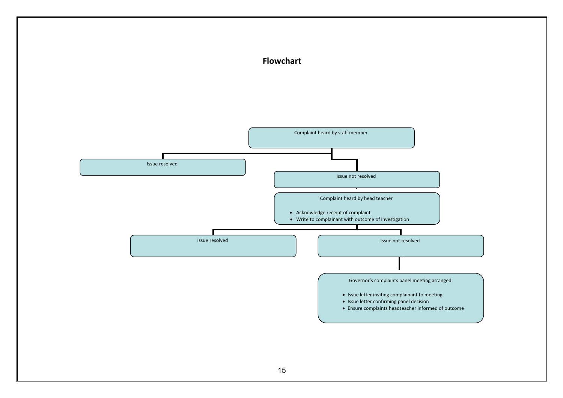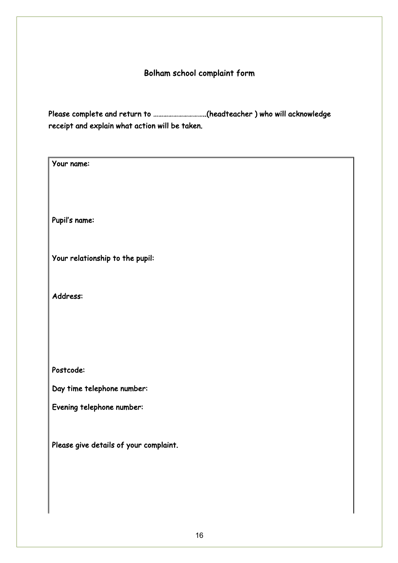## Bolham school complaint form

Please complete and return to …………………………..(headteacher ) who will acknowledge receipt and explain what action will be taken.

Your name: Pupil's name: Your relationship to the pupil: Address: Postcode: Day time telephone number: Evening telephone number: Please give details of your complaint.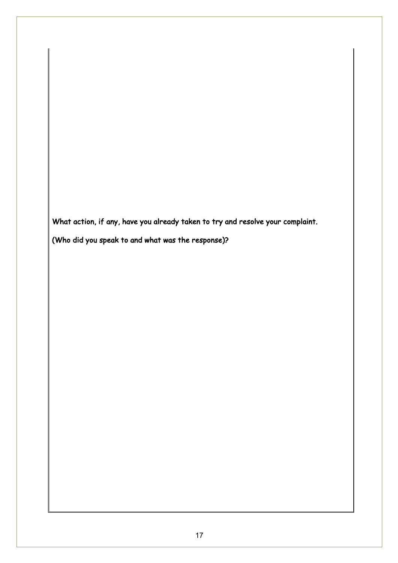What action, if any, have you already taken to try and resolve your complaint.

(Who did you speak to and what was the response)?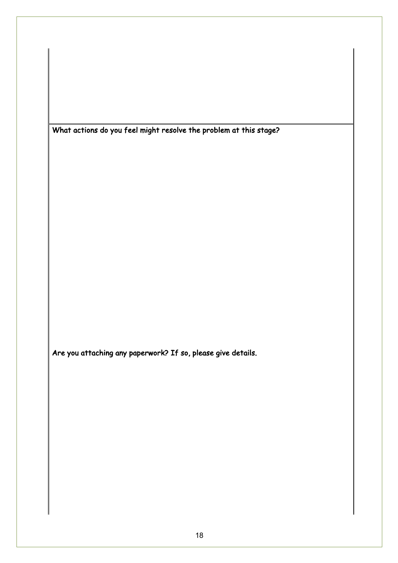What actions do you feel might resolve the problem at this stage?

Are you attaching any paperwork? If so, please give details.